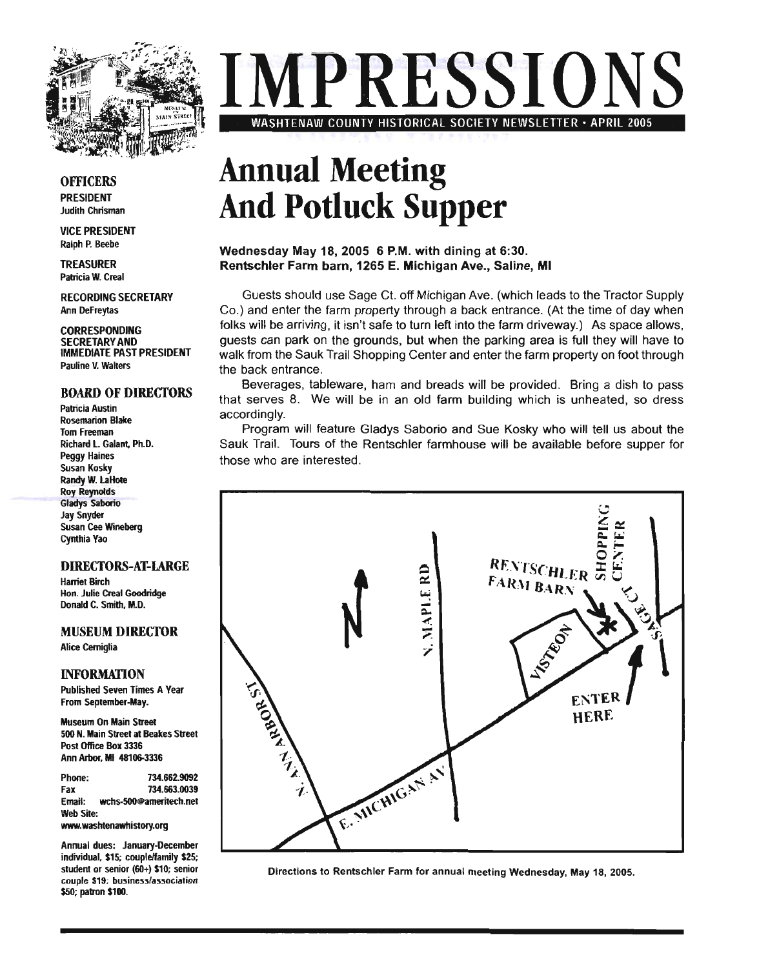

# **IMPRESSIONS**  WASHTENAW COUNTY HISTORICAL SOCIETY NEWSLETTER· APRIL 2005

#### **OFFICERS** PRESIDENT

Judith Chrisman

VICE PRESIDENT Ralph P. Beebe

TREASURER Patricia W. Creal

RECORDING SECRETARY Ann DeFreytas

**CORRESPONDING** SECRETARY AND IMMEDIATE PAST PRESIDENT Pauline V. Walters

#### BOARD OF DIRECTORS

Patricia Austin Rosemarion Blake Tom Freeman Richard l. Galant. Ph.D. Peggy Haines Susan Kosky Randy W. LaHote Roy Reynolds Gladys Saborio Jay Snyder Susan Cee Wineberg cynthia Yao

#### DIRECTORS-AT-LARGE

Harriet Birch Hon. Julie Creal Goodridge Donald C. Smith, M.D.

MUSEUM DIRECTOR Alice Cerniglia

#### INFORMATION

Published Seven Times A Year From September-May.

Museum On Main Street 500 N. Main Street at Beakes Street Post Office Box 3336 Ann Arbor, MI 48106-3336

Phone: Fax 734.662.9092 734.663.0039 Email: wchs-500@ameritech.net Web Site: www.washtenawhistory.org

Annual dues: January-December individual, \$15; couple/family \$25; student or senior (60+) \$10; senior couple \$19; business/association \$50; patron \$100.

# **Annual Meeting And Potluck Supper**

#### Wednesday May 18, 2005 6 P.M. with dining at 6:30. Rentschler Farm barn, 1265 E. Michigan Ave., Saline, **MI**

Guests should use Sage Ct. off Michigan Ave. (which leads to the Tractor Supply Co.) and enter the farm property through a back entrance. (At the time of day when folks will be arriving, it isn't safe to turn left into the farm driveway.) As space allows, guests can park on the grounds, but when the parking area is full they will have to walk from the Sauk Trail Shopping Center and enter the farm property on foot through the back entrance.

Beverages, tableware, ham and breads will be provided. Bring a dish to pass that serves 8. We will be in an old farm building which is unheated, so dress accordingly.

Program will feature Gladys Saborio and Sue Kosky who will tell us about the Sauk Trail. Tours of the Rentschler farmhouse will be available before supper for those who are interested.



Directions to Rentschler Farm for annual meeting Wednesday, May 18, 2005.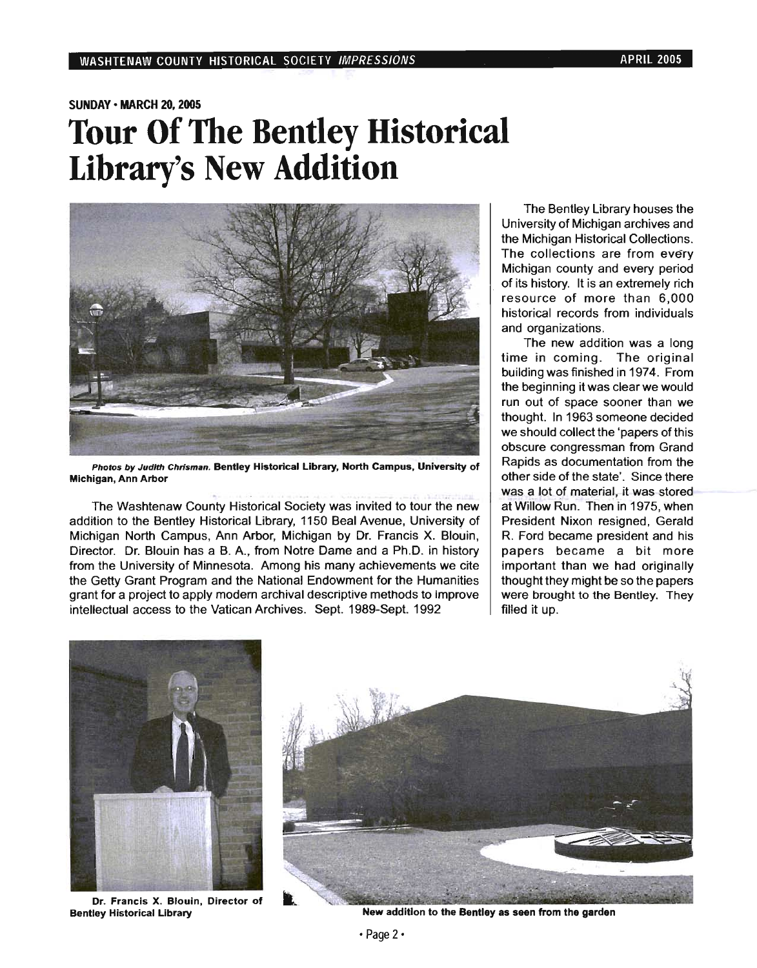### SUNDAY· MARCH 20, 2005 **Tour Of The Bentley Historical Library's New Addition**



Photos *by* Judith Chrisman. Bentley Historical Library, North Campus, University of Michigan, Ann Arbor

The Washtenaw County Historical Society was invited to tour the new addition to the Bentley Historical Library, 1150 Beal Avenue, University of Michigan North Campus, Ann Arbor, Michigan by Dr. Francis X. Blouin, Director. Dr. Blouin has a B. A., from Notre Dame and a Ph.D. in history from the University of Minnesota. Among his many achievements we cite the Getty Grant Program and the National Endowment for the Humanities grant for a project to apply modem archival descriptive methods to improve intellectual access to the Vatican Archives. Sept. 1989-Sept. 1992

The Bentley Library houses the University of Michigan archives and the Michigan Historical Collections. The collections are from every Michigan county and every period of its history. It is an extremely rich resource of more than 6,000 historical records from individuals and organizations.

The new addition was a long time in coming. The original building was finished in 1974. From the beginning it was clear we would run out of space sooner than we thought. In 1963 someone decided we should collect the 'papers of this obscure congressman from Grand Rapids as documentation from the other side of the state'. Since there was a lot of material, it was stored at Willow Run. Then in 1975, when President Nixon resigned, Gerald R. Ford became president and his papers became a bit more important than we had originally thought they might be so the papers were brought to the Bentley. They filled it up.



Dr. Francis X. Blouin, Director of



Bentley Historical Library **New addition to the Bentley as seen from the garden**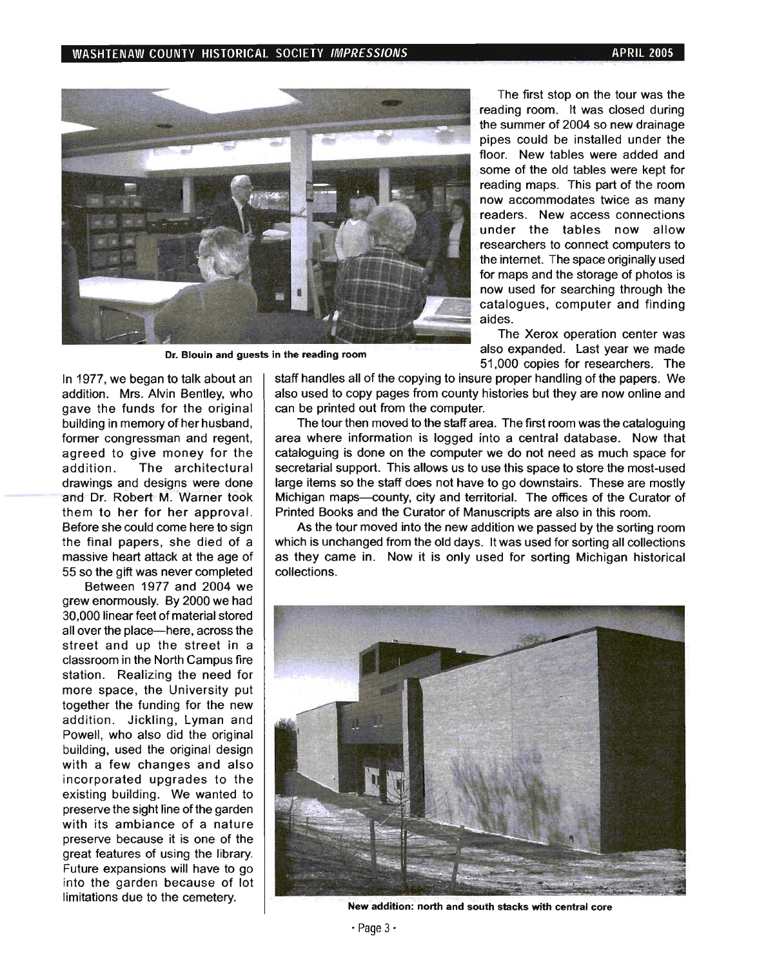

Dr. Blouin and guests in the reading room

In 1977, we began to talk about an addition. Mrs. Alvin Bentley, who gave the funds for the original building in memory of her husband, former congressman and regent, agreed to give money for the addition . The architectural drawings and designs were done and Dr. Robert M. Warner took them to her for her approval. Before she could come here to sign the final papers, she died of a massive heart attack at the age of 55 so the gift was never completed

Between 1977 and 2004 we grew enormously. By 2000 we had 30,000 linear feet of material stored all over the place-here, across the street and up the street in a classroom in the North Campus fire station. Realizing the need for more space, the University put together the funding for the new addition. Jickling, Lyman and Powell, who also did the original building, used the original design with a few changes and also incorporated upgrades to the existing building. We wanted to preserve the sight line of the garden with its ambiance of a nature preserve because it is one of the great features of using the library. Future expansions will have to go into the garden because of lot limitations due to the cemetery.

The first stop on the tour was the reading room. It was closed during the summer of 2004 so new drainage pipes could be installed under the floor. New tables were added and some of the old tables were kept for reading maps. This part of the room now accommodates twice as many readers. New access connections under the tables now allow researchers to connect computers to the internet. The space originally used for maps and the storage of photos is now used for searching through the catalogues, computer and finding aides.

The Xerox operation center was also expanded. Last year we made 51,000 copies for researchers. The

staff handles all of the copying to insure proper handling of the papers. We also used to copy pages from county histories but they are now online and can be printed out from the computer.

The tour then moved to the staff area. The first room was the cataloguing area where information is logged into a central database. Now that cataloguing is done on the computer we do not need as much space for secretarial support. This allows us to use this space to store the most-used large items so the staff does not have to go downstairs. These are mostly Michigan maps-county, city and territorial. The offices of the Curator of Printed Books and the Curator of Manuscripts are also in this room.

As the tour moved into the new addition we passed by the sorting room which is unchanged from the old days. It was used for sorting all collections as they came in. Now it is only used for sorting Michigan historical collections.



New addition: north and south stacks with central core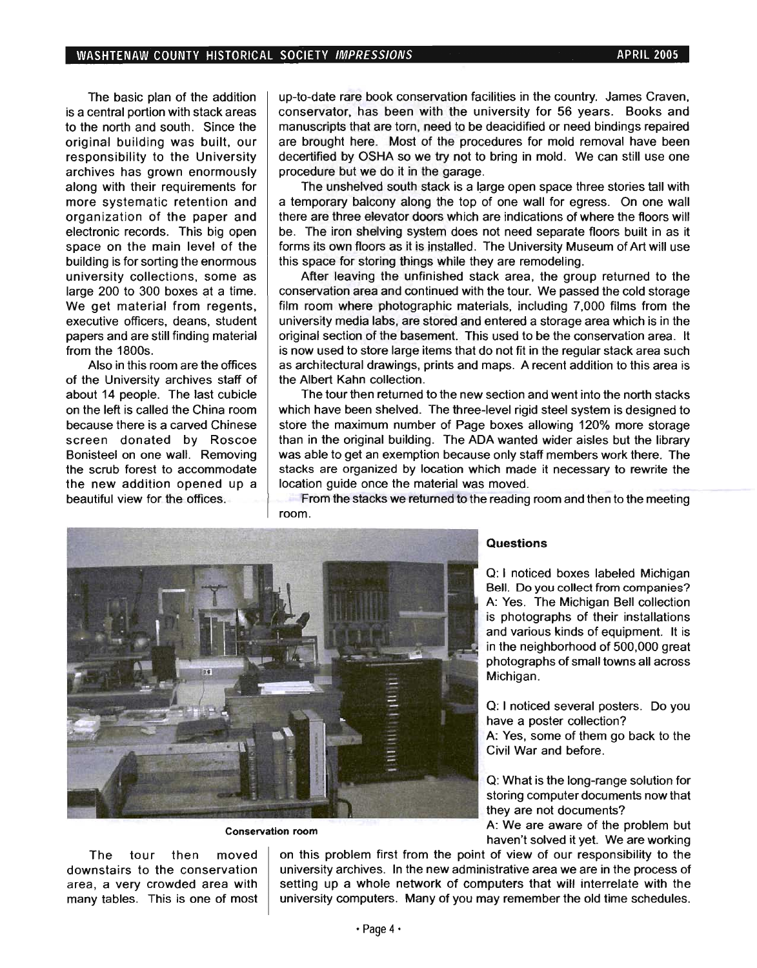The basic plan of the addition is a central portion with stack areas to the north and south. Since the original building was built, our responsibility to the University archives has grown enormously along with their requirements for more systematic retention and organization of the paper and electronic records. This big open space on the main level of the building is for sorting the enormous university collections, some as large 200 to 300 boxes at a time. We get material from regents, executive officers, deans, student papers and are still finding material from the 1800s.

Also in this room are the offices of the University archives staff of about 14 people. The last cubicle on the left is called the China room because there is a carved Chinese screen donated by Roscoe Bonisteel on one wall. Removing the scrub forest to accommodate the new addition opened up a beautiful view for the offices.

up-tO-date rare book conservation facilities in the country. James Craven, conservator, has been with the university for 56 years. Books and manuscripts that are torn, need to be deacidified or need bindings repaired are brought here. Most of the procedures for mold removal have been decertified by OSHA so we try not to bring in mold. We can still use one procedure but we do it in the garage.

The unshelved south stack is a large open space three stories tall with a temporary balcony along the top of one wall for egress. On one wall there are three elevator doors which are indications of where the floors will be. The iron shelving system does not need separate floors built in as it forms its own floors as it is installed. The University Museum of Art will use this space for storing things while they are remodeling.

After leaving the unfinished stack area, the group returned to the conservation area and continued with the tour. We passed the cold storage film room where photographic materials, including 7,000 films from the university media labs, are stored and entered a storage area which is in the original section of the basement. This used to be the conservation area. It is now used to store large items that do not fit in the regular stack area such as architectural drawings, prints and maps. A recent addition to this area is the Albert Kahn collection.

The tour then returned to the new section and went into the north stacks which have been shelved. The three-level rigid steel system is designed to store the maximum number of Page boxes allowing 120% more storage than in the original building. The ADA wanted wider aisles but the library was able to get an exemption because only staff members work there. The stacks are organized by location which made it necessary to rewrite the location guide once the material was moved.

From the stacks we returned to the reading room and then to the meeting room.



The tour then moved downstairs to the conservation area, a very crowded area with many tables. This is one of most

#### **Questions**

Q: I noticed boxes labeled Michigan Bell. Do you collect from companies? A: Yes. The Michigan Bell collection is photographs of their installations and various kinds of equipment. It is in the neighborhood of 500,000 great photographs of small towns all across Michigan.

Q: I noticed several posters. Do you have a poster collection?

A: Yes, some of them go back to the Civil War and before.

Q: What is the long-range solution for storing computer documents now that they are not documents?

Conservation room A: We are aware of the problem but haven't solved it yet. We are working

on this problem first from the point of view of our responsibility to the university archives. In the new administrative area we are in the process of setting up a whole network of computers that will interrelate with the university computers. Many of you may remember the old time schedules.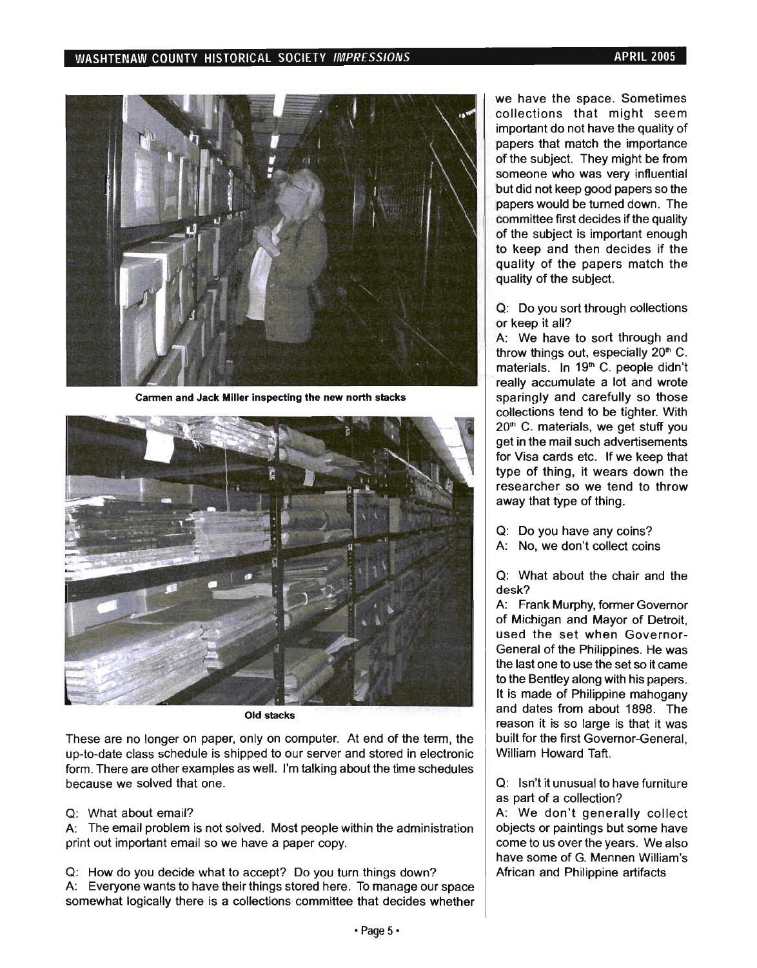#### WASHTENAW COUNTY HISTORICAL SOCIETY IMPRESSIONS **APRIL 2005**



Carmen and Jack Miller inspecting the new north stacks



Old stacks

These are no longer on paper, only on computer. At end of the term, the up-to-date class schedule is shipped to our server and stored in electronic form. There are other examples as well. I'm talking about the time schedules because we solved that one.

Q: What about email?

A: The email problem is not solved. Most people within the administration print out important email so we have a paper copy.

Q: How do you decide what to accept? Do you turn things down? A: Everyone wants to have their things stored here. To manage our space somewhat logically there is a collections committee that decides whether we have the space. Sometimes collections that might seem important do not have the quality of papers that match the importance of the subject. They might be from someone who was very influential but did not keep good papers so the papers would be turned down. The committee first decides if the quality of the subject is important enough to keep and then decides if the quality of the papers match the quality of the subject.

Q: Do you sort through collections or keep it all?

A: We have to sort through and throw things out, especially  $20<sup>th</sup>$  C. materials. In 19<sup>th</sup> C. people didn't really accumulate a lot and wrote sparingly and carefully so those collections tend to be tighter. With  $20<sup>th</sup>$  C. materials, we get stuff you get in the mail such advertisements for Visa cards etc. If we keep that type of thing, it wears down the researcher so we tend to throw away that type of thing.

- Q: Do you have any coins?
- A: No, we don't collect coins

Q: What about the chair and the desk?

A: Frank Murphy, former Governor of Michigan and Mayor of Detroit, used the set when Governor-General of the Philippines. He was the last one to use the set so it carne to the Bentley along with his papers. It is made of Philippine mahogany and dates from about 1898. The reason it is so large is that it was built for the first Governor-General, William Howard Taft.

Q: Isn't it unusual to have furniture as part of a collection?

A: We don't generally collect objects or paintings but some have come to us over the years. We also have some of G. Mennen William's African and Philippine artifacts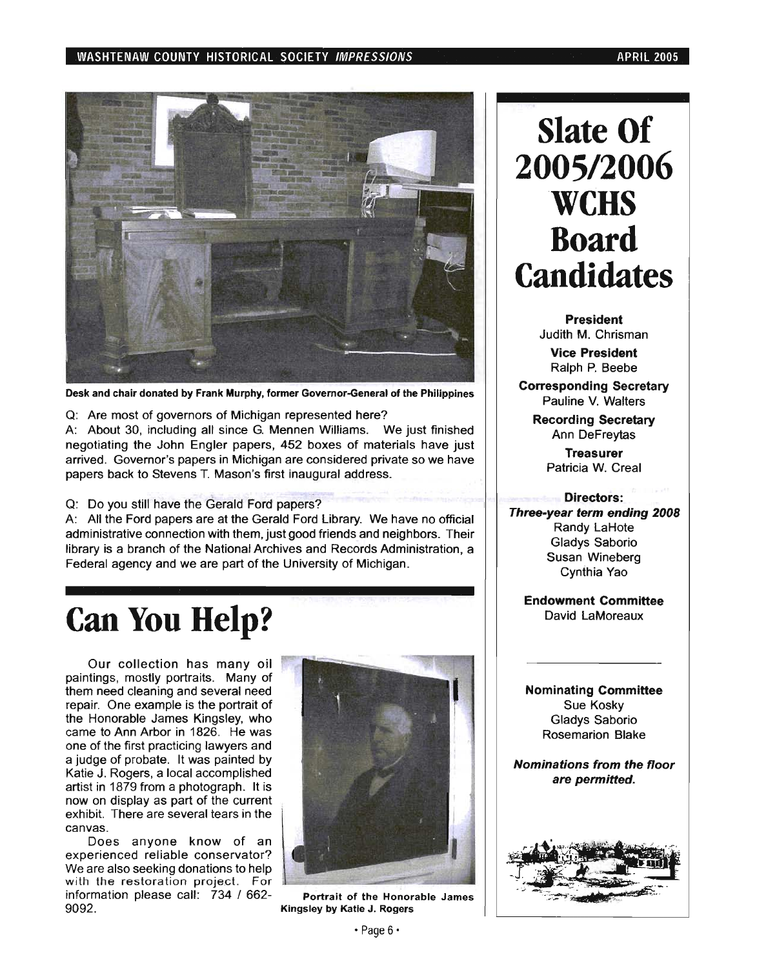#### WASHTENAW COUNTY HISTORICAL SOCIETY IMPRESSIONS APRIL 2005 APRIL 2005



Desk and chair donated by Frank Murphy, former Governor-General of the Philippines

Q: Are most of governors of Michigan represented here?

A: About 30, including all since G. Mennen Williams. We just finished negotiating the John Engler papers, 452 boxes of materials have just arrived. Governor's papers in Michigan are considered private so we have papers back to Stevens T. Mason's first inaugural address.

Q: Do you still have the Gerald Ford papers?

A: All the Ford papers are at the Gerald Ford Library. We have no official administrative connection with them, just good friends and neighbors. Their library is a branch of the National Archives and Records Administration, a Federal agency and we are part of the University of Michigan.

### **Can You Help?**

Our collection has many oil paintings, mostly portraits. Many of them need cleaning and several need repair. One example is the portrait of the Honorable James Kingsley, who came to Ann Arbor in 1826. He was one of the first practicing lawyers and a judge of probate. It was painted by Katie J. Rogers, a local accomplished artist in 1879 from a photograph. It is now on display as part of the current exhibit. There are several tears in the canvas.

Does anyone know of an experienced reliable conservator? We are also seeking donations to help with the restoration project. For information please call: 734 / 662- Portrait of the Honorable James 9092. Kingsley by Katie J. Rogers



## **Slate Of 2005/2006 WCHS Board Candidates**

President Judith M. Chrisman

Vice President Ralph P. Beebe

Corresponding Secretary Pauline V. Walters

> Recording Secretary Ann DeFreytas

> > Treasurer Patricia W. Creal

#### Directors:

Three-year term ending 2008 Randy LaHote Gladys Saborio Susan Wineberg Cynthia Yao

Endowment Committee David LaMoreaux

Nominating Committee Sue Kosky Gladys Saborio Rosemarion Blake

Nominations from the floor are permitted.

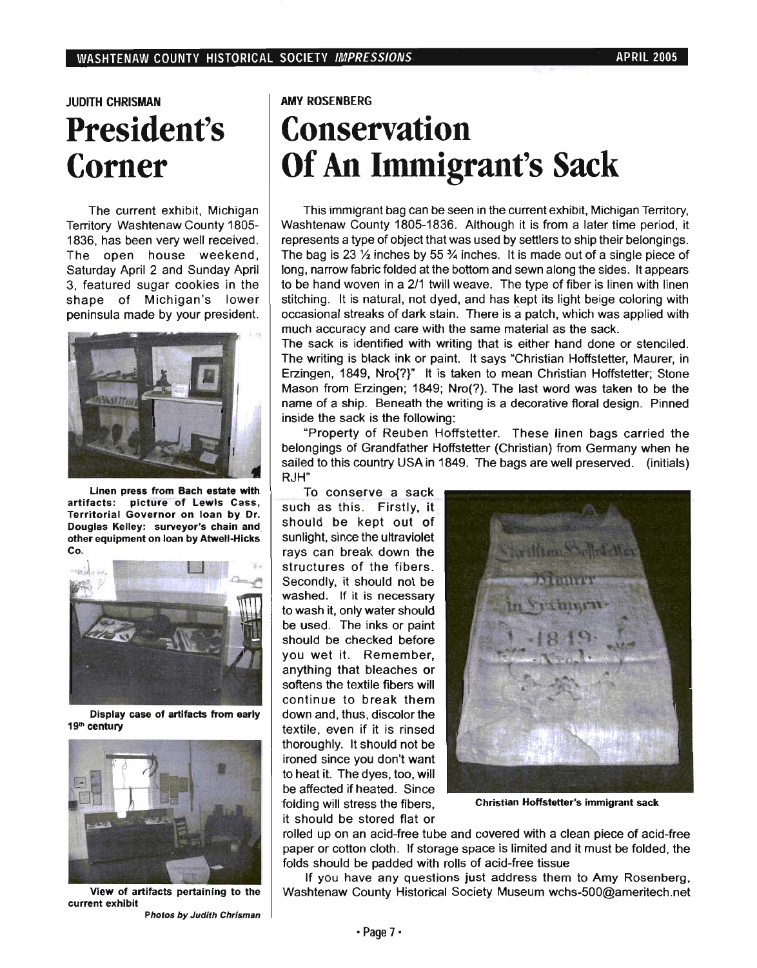### JUDITH CHRISMAN **President's Corner**

The current exhibit, Michigan Territory Washtenaw County 1805- 1836, has been very well received. The open house weekend, Saturday April 2 and Sunday April 3, featured sugar cookies in the shape of Michigan's lower peninsula made by your president.



Linen press from Bach estate with artifacts: picture of Lewis Cass, Territorial Governor on loan by Dr. Douglas Kelley: surveyor's chain and other equipment on loan by Atwell-Hicks Co.



Display case of artifacts from early 19<sup>th</sup> century



View of artifacts pertaining to the current exhibit

Photos by Judith Chrisman

AMY ROSENBERG

## **Conservation Of An Immigrant's Sack**

This immigrant bag can be seen in the current exhibit, Michigan Territory, Washtenaw County 1805-1836. Although it is from a later time period, it represents a type of object that was used by settlers to ship their belongings. The bag is 23  $\frac{1}{2}$  inches by 55  $\frac{3}{4}$  inches. It is made out of a single piece of long, narrow fabric folded at the bottom and sewn along the sides. It appears to be hand woven in a 2/1 twill weave. The type of fiber is linen with linen stitching. It is natural, not dyed, and has kept its light beige coloring with occasional streaks of dark stain. There is a patch, which was applied with much accuracy and care with the same material as the sack.

The sack is identified with writing that is either hand done or stenciled. The writing is black ink or paint. It says "Christian Hoffstetter, Maurer, in Erzingen, 1849, Nro{?}" It is taken to mean Christian Hoffstetter; Stone Mason from Erzingen; 1849; Nro(?). The last word was taken to be the name of a ship. Beneath the writing is a decorative floral design. Pinned inside the sack is the following:

"Property of Reuben Hoffstetter. These linen bags carried the belongings of Grandfather Hoffstetter (Christian) from Germany when he sailed to this country USA in 1849. The bags are well preserved. (initials) RJH"

To conserve a sack such as this. Firstly, it should be kept out of sunlight, since the ultraviolet rays can break down the structures of the fibers. Secondly, it should not be washed. If it is necessary to wash it, only water should be used. The inks or paint should be checked before you wet it. Remember, anything that bleaches or softens the textile fibers will continue to break them down and, thus, discolor the textile, even if it is rinsed thoroughly. It should not be ironed since you don't want to heat it. The dyes, too, will be affected if heated. Since folding will stress the fibers, it should be stored flat or



Christian Hoffstetter's immigrant sack

rolled up on an acid-free tube and covered with a clean piece of acid-free paper or cotton cloth. If storage space is limited and it must be folded, the folds should be padded with rolls of acid-free tissue

If you have any questions just address them to Amy Rosenberg. Washtenaw County Historical Society Museum wchs-500@ameritech.net